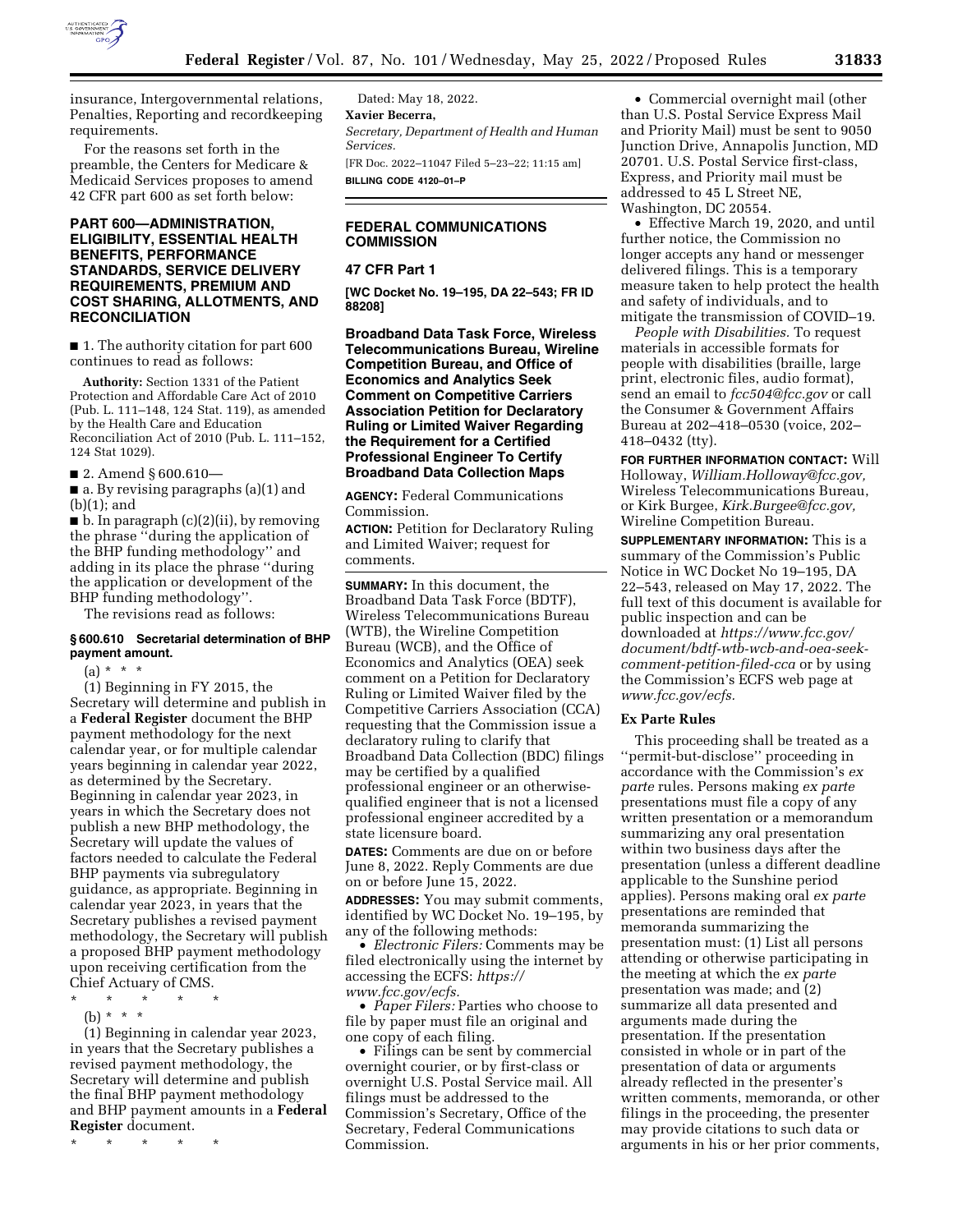

insurance, Intergovernmental relations, Penalties, Reporting and recordkeeping requirements.

For the reasons set forth in the preamble, the Centers for Medicare & Medicaid Services proposes to amend 42 CFR part 600 as set forth below:

# **PART 600—ADMINISTRATION, ELIGIBILITY, ESSENTIAL HEALTH BENEFITS, PERFORMANCE STANDARDS, SERVICE DELIVERY REQUIREMENTS, PREMIUM AND COST SHARING, ALLOTMENTS, AND RECONCILIATION**

■ 1. The authority citation for part 600 continues to read as follows:

**Authority:** Section 1331 of the Patient Protection and Affordable Care Act of 2010 (Pub. L. 111–148, 124 Stat. 119), as amended by the Health Care and Education Reconciliation Act of 2010 (Pub. L. 111–152, 124 Stat 1029).

■ 2. Amend § 600.610—

■ a. By revising paragraphs (a)(1) and (b)(1); and

 $\blacksquare$  b. In paragraph (c)(2)(ii), by removing the phrase ''during the application of the BHP funding methodology'' and adding in its place the phrase ''during the application or development of the BHP funding methodology''.

The revisions read as follows:

#### **§ 600.610 Secretarial determination of BHP payment amount.**

 $(a) * * * *$ 

(1) Beginning in FY 2015, the Secretary will determine and publish in a **Federal Register** document the BHP payment methodology for the next calendar year, or for multiple calendar years beginning in calendar year 2022, as determined by the Secretary. Beginning in calendar year 2023, in years in which the Secretary does not publish a new BHP methodology, the Secretary will update the values of factors needed to calculate the Federal BHP payments via subregulatory guidance, as appropriate. Beginning in calendar year 2023, in years that the Secretary publishes a revised payment methodology, the Secretary will publish a proposed BHP payment methodology upon receiving certification from the Chief Actuary of CMS.

- \* \* \* \* \*
	- (b) \* \* \*

(1) Beginning in calendar year 2023, in years that the Secretary publishes a revised payment methodology, the Secretary will determine and publish the final BHP payment methodology and BHP payment amounts in a **Federal Register** document.

\* \* \* \* \*

Dated: May 18, 2022. **Xavier Becerra,**  *Secretary, Department of Health and Human Services.*  [FR Doc. 2022–11047 Filed 5–23–22; 11:15 am] **BILLING CODE 4120–01–P** 

# **FEDERAL COMMUNICATIONS COMMISSION**

### **47 CFR Part 1**

**[WC Docket No. 19–195, DA 22–543; FR ID 88208]** 

**Broadband Data Task Force, Wireless Telecommunications Bureau, Wireline Competition Bureau, and Office of Economics and Analytics Seek Comment on Competitive Carriers Association Petition for Declaratory Ruling or Limited Waiver Regarding the Requirement for a Certified Professional Engineer To Certify Broadband Data Collection Maps** 

**AGENCY:** Federal Communications Commission.

**ACTION:** Petition for Declaratory Ruling and Limited Waiver; request for comments.

**SUMMARY:** In this document, the Broadband Data Task Force (BDTF), Wireless Telecommunications Bureau (WTB), the Wireline Competition Bureau (WCB), and the Office of Economics and Analytics (OEA) seek comment on a Petition for Declaratory Ruling or Limited Waiver filed by the Competitive Carriers Association (CCA) requesting that the Commission issue a declaratory ruling to clarify that Broadband Data Collection (BDC) filings may be certified by a qualified professional engineer or an otherwisequalified engineer that is not a licensed professional engineer accredited by a state licensure board.

**DATES:** Comments are due on or before June 8, 2022. Reply Comments are due on or before June 15, 2022. **ADDRESSES:** You may submit comments, identified by WC Docket No. 19–195, by

any of the following methods: • *Electronic Filers:* Comments may be filed electronically using the internet by accessing the ECFS: *[https://](https://www.fcc.gov/ecfs)  [www.fcc.gov/ecfs.](https://www.fcc.gov/ecfs)* 

• *Paper Filers:* Parties who choose to file by paper must file an original and one copy of each filing.

• Filings can be sent by commercial overnight courier, or by first-class or overnight U.S. Postal Service mail. All filings must be addressed to the Commission's Secretary, Office of the Secretary, Federal Communications Commission.

• Commercial overnight mail (other than U.S. Postal Service Express Mail and Priority Mail) must be sent to 9050 Junction Drive, Annapolis Junction, MD 20701. U.S. Postal Service first-class, Express, and Priority mail must be addressed to 45 L Street NE, Washington, DC 20554.

• Effective March 19, 2020, and until further notice, the Commission no longer accepts any hand or messenger delivered filings. This is a temporary measure taken to help protect the health and safety of individuals, and to mitigate the transmission of COVID–19.

*People with Disabilities.* To request materials in accessible formats for people with disabilities (braille, large print, electronic files, audio format), send an email to *[fcc504@fcc.gov](mailto:fcc504@fcc.gov)* or call the Consumer & Government Affairs Bureau at 202–418–0530 (voice, 202– 418–0432 (tty).

**FOR FURTHER INFORMATION CONTACT:** Will Holloway, *[William.Holloway@fcc.gov,](mailto:William.Holloway@fcc.gov)*  Wireless Telecommunications Bureau, or Kirk Burgee, *[Kirk.Burgee@fcc.gov,](mailto:Kirk.Burgee@fcc.gov)*  Wireline Competition Bureau.

**SUPPLEMENTARY INFORMATION:** This is a summary of the Commission's Public Notice in WC Docket No 19–195, DA 22–543, released on May 17, 2022. The full text of this document is available for public inspection and can be downloaded at *[https://www.fcc.gov/](https://www.fcc.gov/document/bdtf-wtb-wcb-and-oea-seek-comment-petition-filed-cca)  [document/bdtf-wtb-wcb-and-oea-seek](https://www.fcc.gov/document/bdtf-wtb-wcb-and-oea-seek-comment-petition-filed-cca)[comment-petition-filed-cca](https://www.fcc.gov/document/bdtf-wtb-wcb-and-oea-seek-comment-petition-filed-cca)* or by using the Commission's ECFS web page at *[www.fcc.gov/ecfs.](http://www.fcc.gov/ecfs)* 

## **Ex Parte Rules**

This proceeding shall be treated as a ''permit-but-disclose'' proceeding in accordance with the Commission's *ex parte* rules. Persons making *ex parte*  presentations must file a copy of any written presentation or a memorandum summarizing any oral presentation within two business days after the presentation (unless a different deadline applicable to the Sunshine period applies). Persons making oral *ex parte*  presentations are reminded that memoranda summarizing the presentation must: (1) List all persons attending or otherwise participating in the meeting at which the *ex parte*  presentation was made; and (2) summarize all data presented and arguments made during the presentation. If the presentation consisted in whole or in part of the presentation of data or arguments already reflected in the presenter's written comments, memoranda, or other filings in the proceeding, the presenter may provide citations to such data or arguments in his or her prior comments,